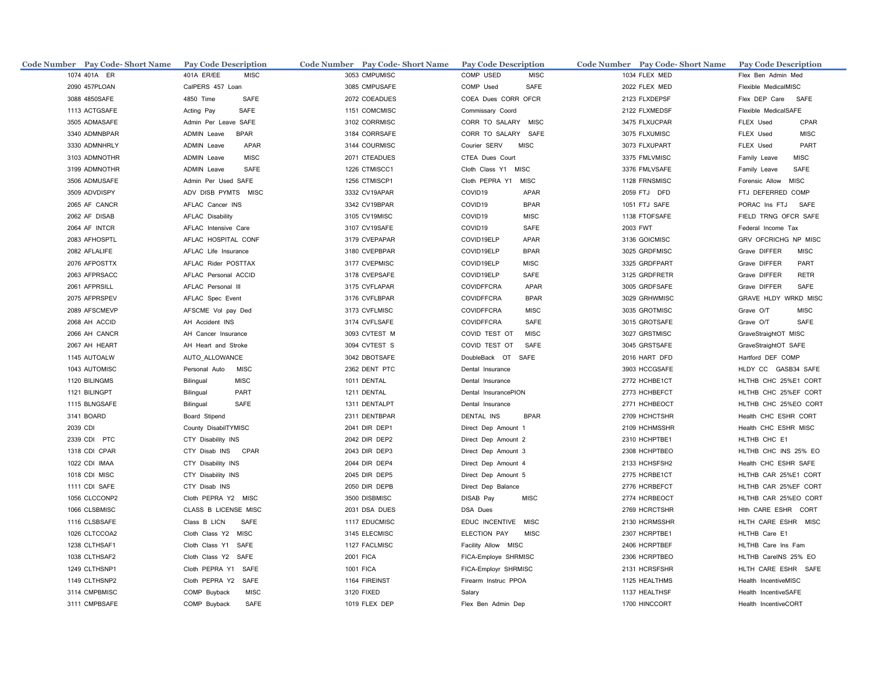| Code Number Pay Code- Short Name | <b>Pay Code Description</b>       | Code Number Pay Code-Short Name | <b>Pay Code Description</b>      | Code Number Pay Code-Short Name | <b>Pay Code Description</b>   |
|----------------------------------|-----------------------------------|---------------------------------|----------------------------------|---------------------------------|-------------------------------|
| 1074 401A ER                     | 401A ER/EE<br><b>MISC</b>         | 3053 CMPUMISC                   | COMP USED<br><b>MISC</b>         | 1034 FLEX MED                   | Flex Ben Admin Med            |
| 2090 457PLOAN                    | CalPERS 457 Loan                  | 3085 CMPUSAFE                   | COMP Used<br>SAFE                | 2022 FLEX MED                   | Flexible MedicalMISC          |
| 3088 4850SAFE                    | 4850 Time<br>SAFE                 | 2072 COEADUES                   | COEA Dues CORR OFCR              | 2123 FLXDEPSF                   | Flex DEP Care SAFE            |
| 1113 ACTGSAFE                    | Acting Pay<br>SAFE                | 1151 COMCMISC                   | Commissary Coord                 | 2122 FLXMEDSF                   | Flexible MedicalSAFE          |
| 3505 ADMASAFE                    | Admin Per Leave SAFE              | 3102 CORRMISC                   | CORR TO SALARY MISC              | 3475 FLXUCPAR                   | FLEX Used<br>CPAR             |
| 3340 ADMNBPAR                    | ADMIN Leave<br><b>BPAR</b>        | 3184 CORRSAFE                   | CORR TO SALARY SAFE              | 3075 FLXUMISC                   | <b>MISC</b><br>FLEX Used      |
| 3330 ADMNHRLY                    | <b>ADMIN Leave</b><br>APAR        | 3144 COURMISC                   | Courier SERV<br><b>MISC</b>      | 3073 FLXUPART                   | PART<br>FLEX Used             |
| 3103 ADMNOTHR                    | <b>ADMIN Leave</b><br><b>MISC</b> | 2071 CTEADUES                   | CTEA Dues Court                  | 3375 FMLVMISC                   | <b>MISC</b><br>Family Leave   |
| 3199 ADMNOTHR                    | ADMIN Leave<br>SAFE               | 1226 CTMISCC1                   | Cloth Class Y1 MISC              | 3376 FMLVSAFE                   | Family Leave<br>SAFE          |
| 3506 ADMUSAFE                    | Admin Per Used SAFE               | 1256 CTMISCP1                   | Cloth PEPRA Y1<br><b>MISC</b>    | 1128 FRNSMISC                   | Forensic Allow<br><b>MISC</b> |
| 3509 ADVDISPY                    | ADV DISB PYMTS MISC               | 3332 CV19APAR                   | COVID19<br>APAR                  | 2059 FTJ DFD                    | FTJ DEFERRED COMP             |
| 2065 AF CANCR                    | AFLAC Cancer INS                  | 3342 CV19BPAR                   | COVID19<br><b>BPAR</b>           | 1051 FTJ SAFE                   | PORAC Ins FTJ SAFE            |
| 2062 AF DISAB                    | <b>AFLAC Disability</b>           | 3105 CV19MISC                   | COVID19<br><b>MISC</b>           | 1138 FTOFSAFE                   | FIELD TRNG OFCR SAFE          |
| 2064 AF INTCR                    | AFLAC Intensive Care              | 3107 CV19SAFE                   | COVID19<br>SAFE                  | 2003 FWT                        | Federal Income Tax            |
| 2083 AFHOSPTL                    | AFLAC HOSPITAL CONF               | 3179 CVEPAPAR                   | COVID19ELP<br>APAR               | 3136 GOICMISC                   | GRV OFCRICHG NP MISC          |
| 2082 AFLALIFE                    | AFLAC Life Insurance              | 3180 CVEPBPAR                   | COVID19ELP<br><b>BPAR</b>        | 3025 GRDFMISC                   | Grave DIFFER<br><b>MISC</b>   |
| 2076 AFPOSTTX                    | AFLAC Rider POSTTAX               | 3177 CVEPMISC                   | COVID19ELP<br><b>MISC</b>        | 3325 GRDFPART                   | Grave DIFFER<br>PART          |
| 2063 AFPRSACC                    | AFLAC Personal ACCID              | 3178 CVEPSAFE                   | COVID19ELP<br>SAFE               | 3125 GRDFRETR                   | Grave DIFFER<br><b>RETR</b>   |
| 2061 AFPRSILL                    | AFLAC Personal III                | 3175 CVFLAPAR                   | <b>COVIDFFCRA</b><br>APAR        | 3005 GRDFSAFE                   | Grave DIFFER<br>SAFE          |
| 2075 AFPRSPEV                    | AFLAC Spec Event                  | 3176 CVFLBPAR                   | <b>BPAR</b><br><b>COVIDFFCRA</b> | 3029 GRHWMISC                   | GRAVE HLDY WRKD MISC          |
| 2089 AFSCMEVP                    | AFSCME Vol pay Ded                | 3173 CVFLMISC                   | <b>COVIDFFCRA</b><br><b>MISC</b> | 3035 GROTMISC                   | Grave O/T<br><b>MISC</b>      |
| 2068 AH ACCID                    | AH Accident INS                   | 3174 CVFLSAFE                   | <b>COVIDFFCRA</b><br><b>SAFE</b> | 3015 GROTSAFE                   | SAFE<br>Grave O/T             |
| 2066 AH CANCR                    | AH Cancer Insurance               | 3093 CVTEST M                   | COVID TEST OT<br><b>MISC</b>     | 3027 GRSTMISC                   | GraveStraightOT MISC          |
| 2067 AH HEART                    | AH Heart and Stroke               | 3094 CVTEST S                   | COVID TEST OT<br>SAFE            | 3045 GRSTSAFE                   | GraveStraightOT SAFE          |
| 1145 AUTOALW                     | AUTO_ALLOWANCE                    | 3042 DBOTSAFE                   | DoubleBack OT SAFE               | 2016 HART DFD                   | Hartford DEF COMP             |
| 1043 AUTOMISC                    | Personal Auto<br><b>MISC</b>      | 2362 DENT PTC                   | Dental Insurance                 | 3903 HCCGSAFE                   | HLDY CC GASB34 SAFE           |
| 1120 BILINGMS                    | <b>MISC</b><br>Bilingual          | 1011 DENTAL                     | Dental Insurance                 | 2772 HCHBE1CT                   | HLTHB CHC 25%E1 CORT          |
| 1121 BILINGPT                    | Bilingual<br>PART                 | 1211 DENTAL                     | Dental InsurancePION             | 2773 HCHBEFCT                   | HLTHB CHC 25%EF CORT          |
| 1115 BLNGSAFE                    | Bilingual<br>SAFE                 | 1311 DENTALPT                   | Dental Insurance                 | 2771 HCHBEOCT                   | HLTHB CHC 25%EO CORT          |
| 3141 BOARD                       | Board Stipend                     | 2311 DENTBPAR                   | <b>DENTAL INS</b><br><b>BPAR</b> | 2709 HCHCTSHR                   | Health CHC ESHR CORT          |
| 2039 CDI                         | County DisabilTYMISC              | 2041 DIR DEP1                   | Direct Dep Amount 1              | 2109 HCHMSSHR                   | Health CHC ESHR MISC          |
| 2339 CDI PTC                     | CTY Disability INS                | 2042 DIR DEP2                   | Direct Dep Amount 2              | 2310 HCHPTBE1                   | HLTHB CHC E1                  |
| 1318 CDI CPAR                    | CTY Disab INS CPAR                | 2043 DIR DEP3                   | Direct Dep Amount 3              | 2308 HCHPTBEO                   | HLTHB CHC INS 25% EO          |
| 1022 CDI IMAA                    | CTY Disability INS                | 2044 DIR DEP4                   | Direct Dep Amount 4              | 2133 HCHSFSH2                   | Health CHC ESHR SAFE          |
| 1018 CDI MISC                    | CTY Disability INS                | 2045 DIR DEP5                   | Direct Dep Amount 5              | 2775 HCRBE1CT                   | HLTHB CAR 25%E1 CORT          |
| 1111 CDI SAFE                    | CTY Disab INS                     | 2050 DIR DEPB                   | Direct Dep Balance               | 2776 HCRBEFCT                   | HLTHB CAR 25%EF CORT          |
| 1056 CLCCONP2                    | Cloth PEPRA Y2 MISC               | 3500 DISBMISC                   | DISAB Pay<br><b>MISC</b>         | 2774 HCRBEOCT                   | HLTHB CAR 25%EO CORT          |
| 1066 CLSBMISC                    | CLASS B LICENSE MISC              | 2031 DSA DUES                   | DSA Dues                         | 2769 HCRCTSHR                   | Hith CARE ESHR CORT           |
| 1116 CLSBSAFE                    | Class B LICN<br>SAFE              | 1117 EDUCMISC                   | EDUC INCENTIVE MISC              | 2130 HCRMSSHR                   | HLTH CARE ESHR MISC           |
| 1026 CLTCCOA2                    | Cloth Class Y2 MISC               | 3145 ELECMISC                   | <b>MISC</b><br>ELECTION PAY      | 2307 HCRPTBE1                   | HLTHB Care E1                 |
| 1238 CLTHSAF1                    | Cloth Class Y1 SAFE               | 1127 FACLMISC                   | Facility Allow MISC              | 2406 HCRPTBEF                   | HLTHB Care Ins Fam            |
| 1038 CLTHSAF2                    | Cloth Class Y2 SAFE               | <b>2001 FICA</b>                | FICA-Employe SHRMISC             | 2306 HCRPTBEO                   | HLTHB CareINS 25% EO          |
| 1249 CLTHSNP1                    | Cloth PEPRA Y1 SAFE               | 1001 FICA                       | FICA-Employr SHRMISC             | 2131 HCRSFSHR                   | HLTH CARE ESHR SAFE           |
| 1149 CLTHSNP2                    | Cloth PEPRA Y2 SAFE               | 1164 FIREINST                   | Firearm Instruc PPOA             | 1125 HEALTHMS                   | Health IncentiveMISC          |
| 3114 CMPBMISC                    | COMP Buyback<br><b>MISC</b>       | 3120 FIXED                      | Salary                           | 1137 HEALTHSF                   | Health IncentiveSAFE          |
| 3111 CMPBSAFE                    | COMP Buyback<br>SAFE              | 1019 FLEX DEP                   | Flex Ben Admin Dep               | 1700 HINCCORT                   | Health IncentiveCORT          |
|                                  |                                   |                                 |                                  |                                 |                               |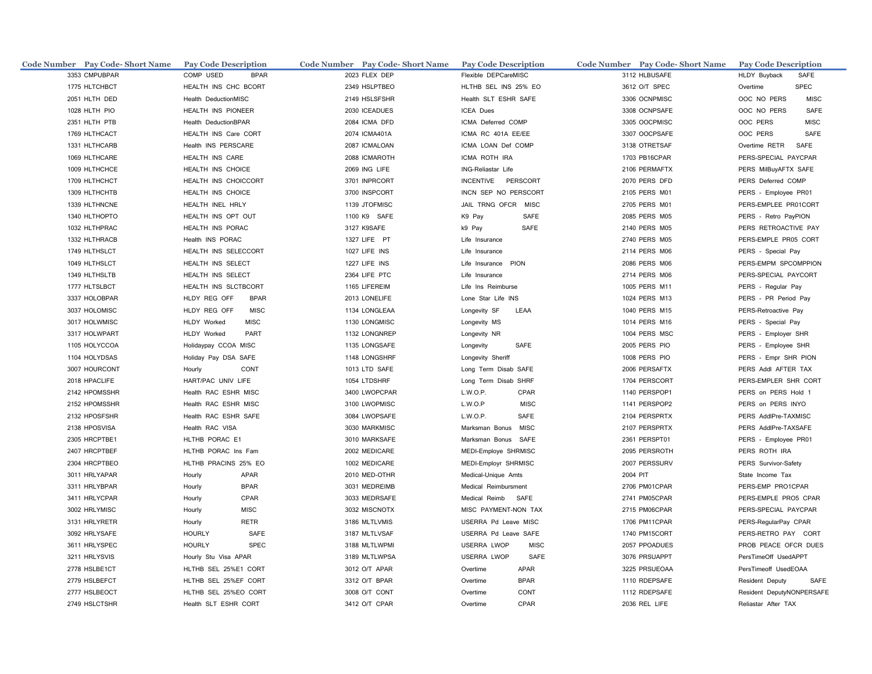| Code Number Pay Code-Short Name | <b>Pay Code Description</b>  | Code Number Pay Code-Short Name | <b>Pay Code Description</b>       | Code Number Pay Code-Short Name Pay Code Description |                            |
|---------------------------------|------------------------------|---------------------------------|-----------------------------------|------------------------------------------------------|----------------------------|
| 3353 CMPUBPAR                   | COMP USED<br><b>BPAR</b>     | 2023 FLEX DEP                   | Flexible DEPCareMISC              | 3112 HLBUSAFE                                        | HLDY Buyback<br>SAFE       |
| 1775 HLTCHBCT                   | HEALTH INS CHC BCORT         | 2349 HSLPTBEO                   | HLTHB SEL INS 25% EO              | 3612 O/T SPEC                                        | Overtime<br><b>SPEC</b>    |
| 2051 HLTH DED                   | Health DeductionMISC         | 2149 HSLSFSHR                   | Health SLT ESHR SAFE              | 3306 OCNPMISC                                        | OOC NO PERS<br><b>MISC</b> |
| 1028 HLTH PIO                   | HEALTH INS PIONEER           | 2030 ICEADUES                   | ICEA Dues                         | 3308 OCNPSAFE                                        | OOC NO PERS<br>SAFE        |
| 2351 HLTH PTB                   | Health DeductionBPAR         | 2084 ICMA DFD                   | ICMA Deferred COMP                | 3305 OOCPMISC                                        | OOC PERS<br><b>MISC</b>    |
| 1769 HLTHCACT                   | HEALTH INS Care CORT         | 2074 ICMA401A                   | ICMA RC 401A EE/EE                | 3307 OOCPSAFE                                        | OOC PERS<br>SAFE           |
| 1331 HLTHCARB                   | Health INS PERSCARE          | 2087 ICMALOAN                   | ICMA LOAN Def COMP                | 3138 OTRETSAF                                        | Overtime RETR SAFE         |
| 1069 HLTHCARE                   | HEALTH INS CARE              | 2088 ICMAROTH                   | ICMA ROTH IRA                     | 1703 PB16CPAR                                        | PERS-SPECIAL PAYCPAR       |
| 1009 HLTHCHCE                   | HEALTH INS CHOICE            | 2069 ING LIFE                   | ING-Reliastar Life                | 2106 PERMAFTX                                        | PERS MilBuyAFTX SAFE       |
| 1709 HLTHCHCT                   | HEALTH INS CHOICCORT         | 3701 INPRCORT                   | INCENTIVE PERSCORT                | 2070 PERS DFD                                        | PERS Deferred COMP         |
| 1309 HLTHCHTB                   | HEALTH INS CHOICE            | 3700 INSPCORT                   | INCN SEP NO PERSCORT              | 2105 PERS M01                                        | PERS - Employee PR01       |
| 1339 HLTHNCNE                   | HEALTH INEL HRLY             | 1139 JTOFMISC                   | JAIL TRNG OFCR MISC               | 2705 PERS M01                                        | PERS-EMPLEE PR01CORT       |
| 1340 HLTHOPTO                   | HEALTH INS OPT OUT           | 1100 K9 SAFE                    | K9 Pay<br>SAFE                    | 2085 PERS M05                                        | PERS - Retro PayPION       |
| 1032 HLTHPRAC                   | HEALTH INS PORAC             | 3127 K9SAFE                     | k9 Pay<br>SAFE                    | 2140 PERS M05                                        | PERS RETROACTIVE PAY       |
| 1332 HLTHRACB                   | Health INS PORAC             | 1327 LIFE PT                    | Life Insurance                    | 2740 PERS M05                                        | PERS-EMPLE PR05 CORT       |
| 1749 HLTHSLCT                   | HEALTH INS SELECCORT         | 1027 LIFE INS                   | Life Insurance                    | 2114 PERS M06                                        | PERS - Special Pay         |
| 1049 HLTHSLCT                   | HEALTH INS SELECT            | 1227 LIFE INS                   | Life Insurance PION               | 2086 PERS M06                                        | PERS-EMPM SPCOMPPION       |
| 1349 HLTHSLTB                   | HEALTH INS SELECT            | 2364 LIFE PTC                   | Life Insurance                    | 2714 PERS M06                                        | PERS-SPECIAL PAYCORT       |
| 1777 HLTSLBCT                   | HEALTH INS SLCTBCORT         | 1165 LIFEREIM                   | Life Ins Reimburse                | 1005 PERS M11                                        | PERS - Regular Pay         |
| 3337 HOLOBPAR                   | HLDY REG OFF<br><b>BPAR</b>  | 2013 LONELIFE                   | Lone Star Life INS                | 1024 PERS M13                                        | PERS - PR Period Pay       |
| 3037 HOLOMISC                   | <b>MISC</b><br>HLDY REG OFF  | 1134 LONGLEAA                   | Longevity SF<br>LEAA              | 1040 PERS M15                                        | PERS-Retroactive Pay       |
| 3017 HOLWMISC                   | HLDY Worked<br><b>MISC</b>   | 1130 LONGMISC                   | Longevity MS                      | 1014 PERS M16                                        | PERS - Special Pay         |
| 3317 HOLWPART                   | PART<br>HLDY Worked          | 1132 LONGNREP                   | Longevity NR                      | 1004 PERS MSC                                        | PERS - Employer SHR        |
| 1105 HOLYCCOA                   | Holidaypay CCOA MISC         | 1135 LONGSAFE                   | Longevity<br><b>SAFE</b>          | 2005 PERS PIO                                        | PERS - Employee SHR        |
| 1104 HOLYDSAS                   | Holiday Pay DSA SAFE         | 1148 LONGSHRF                   | Longevity Sheriff                 | 1008 PERS PIO                                        | PERS - Empr SHR PION       |
| 3007 HOURCONT                   | Hourly<br>CONT               | 1013 LTD SAFE                   | Long Term Disab SAFE              | 2006 PERSAFTX                                        | PERS Addl AFTER TAX        |
| 2018 HPACLIFE                   | HART/PAC UNIV LIFE           | 1054 LTDSHRF                    | Long Term Disab SHRF              | 1704 PERSCORT                                        | PERS-EMPLER SHR CORT       |
| 2142 HPOMSSHR                   | Health RAC ESHR MISC         | 3400 LWOPCPAR                   | L.W.O.P.<br>CPAR                  | 1140 PERSPOP1                                        | PERS on PERS Hold 1        |
| 2152 HPOMSSHR                   | Health RAC ESHR MISC         | 3100 LWOPMISC                   | L.W.O.P<br><b>MISC</b>            | 1141 PERSPOP2                                        | PERS on PERS INYO          |
| 2132 HPOSFSHR                   | Health RAC ESHR SAFE         | 3084 LWOPSAFE                   | L.W.O.P.<br>SAFE                  | 2104 PERSPRTX                                        | PERS AddlPre-TAXMISC       |
| 2138 HPOSVISA                   | Health RAC VISA              | 3030 MARKMISC                   | Marksman Bonus<br><b>MISC</b>     | 2107 PERSPRTX                                        | PERS AddlPre-TAXSAFE       |
| 2305 HRCPTBE1                   | HLTHB PORAC E1               | 3010 MARKSAFE                   | Marksman Bonus SAFE               | 2361 PERSPT01                                        | PERS - Employee PR01       |
| 2407 HRCPTBEF                   | HLTHB PORAC Ins Fam          | 2002 MEDICARE                   | MEDI-Employe SHRMISC              | 2095 PERSROTH                                        | PERS ROTH IRA              |
| 2304 HRCPTBEO                   | HLTHB PRACINS 25% EO         | 1002 MEDICARE                   | MEDI-Employr SHRMISC              | 2007 PERSSURV                                        | PERS Survivor-Safety       |
| 3011 HRLYAPAR                   | APAR<br>Hourly               | 2010 MED-OTHR                   | Medical-Unique Amts               | 2004 PIT                                             | State Income Tax           |
| 3311 HRLYBPAR                   | Hourly<br><b>BPAR</b>        | 3031 MEDREIMB                   | Medical Reimbursment              | 2706 PM01CPAR                                        | PERS-EMP PRO1CPAR          |
| 3411 HRLYCPAR                   | CPAR<br>Hourly               | 3033 MEDRSAFE                   | SAFE<br>Medical Reimb             | 2741 PM05CPAR                                        | PERS-EMPLE PRO5 CPAR       |
| 3002 HRLYMISC                   | <b>MISC</b><br>Hourly        | 3032 MISCNOTX                   | MISC PAYMENT-NON TAX              | 2715 PM06CPAR                                        | PERS-SPECIAL PAYCPAR       |
| 3131 HRLYRETR                   | <b>RETR</b><br>Hourly        | 3186 MLTLVMIS                   | USERRA Pd Leave MISC              | 1706 PM11CPAR                                        | PERS-RegularPay CPAR       |
| 3092 HRLYSAFE                   | <b>SAFE</b><br><b>HOURLY</b> | 3187 MLTLVSAF                   | USERRA Pd Leave SAFE              | 1740 PM15CORT                                        | PERS-RETRO PAY CORT        |
| 3611 HRLYSPEC                   | <b>SPEC</b><br><b>HOURLY</b> | 3188 MLTLWPMI                   | <b>USERRA LWOP</b><br><b>MISC</b> | 2057 PPOADUES                                        | PROB PEACE OFCR DUES       |
| 3211 HRLYSVIS                   | Hourly Stu Visa APAR         | 3189 MLTLWPSA                   | <b>USERRA LWOP</b><br>SAFE        | 3076 PRSUAPPT                                        | PersTimeOff UsedAPPT       |
| 2778 HSLBE1CT                   | HLTHB SEL 25%E1 CORT         | 3012 O/T APAR                   | APAR<br>Overtime                  | 3225 PRSUEOAA                                        | PersTimeoff UsedEOAA       |
| 2779 HSLBEFCT                   | HLTHB SEL 25%EF CORT         | 3312 O/T BPAR                   | Overtime<br><b>BPAR</b>           | 1110 RDEPSAFE                                        | Resident Deputy<br>SAFE    |
| 2777 HSLBEOCT                   | HLTHB SEL 25%EO CORT         | 3008 O/T CONT                   | CONT<br>Overtime                  | 1112 RDEPSAFE                                        | Resident DeputyNONPERSAFE  |
| 2749 HSLCTSHR                   | Health SLT ESHR CORT         | 3412 O/T CPAR                   | Overtime<br>CPAR                  | 2036 REL LIFE                                        | Reliastar After TAX        |
|                                 |                              |                                 |                                   |                                                      |                            |